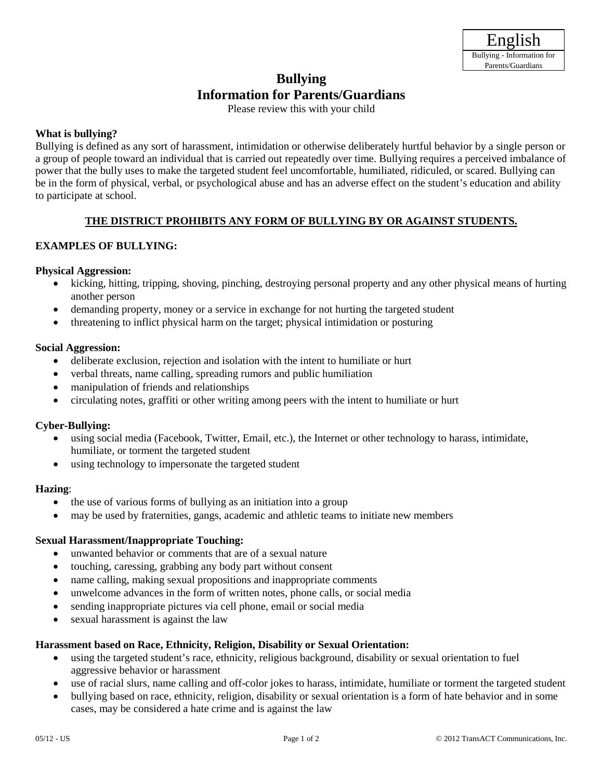# **Bullying Information for Parents/Guardians**

Please review this with your child

## **What is bullying?**

Bullying is defined as any sort of harassment, intimidation or otherwise deliberately hurtful behavior by a single person or a group of people toward an individual that is carried out repeatedly over time. Bullying requires a perceived imbalance of power that the bully uses to make the targeted student feel uncomfortable, humiliated, ridiculed, or scared. Bullying can be in the form of physical, verbal, or psychological abuse and has an adverse effect on the student's education and ability to participate at school.

# **THE DISTRICT PROHIBITS ANY FORM OF BULLYING BY OR AGAINST STUDENTS.**

# **EXAMPLES OF BULLYING:**

## **Physical Aggression:**

- kicking, hitting, tripping, shoving, pinching, destroying personal property and any other physical means of hurting another person
- demanding property, money or a service in exchange for not hurting the targeted student
- threatening to inflict physical harm on the target; physical intimidation or posturing

## **Social Aggression:**

- deliberate exclusion, rejection and isolation with the intent to humiliate or hurt
- verbal threats, name calling, spreading rumors and public humiliation
- manipulation of friends and relationships
- circulating notes, graffiti or other writing among peers with the intent to humiliate or hurt

## **Cyber-Bullying:**

- using social media (Facebook, Twitter, Email, etc.), the Internet or other technology to harass, intimidate, humiliate, or torment the targeted student
- using technology to impersonate the targeted student

## **Hazing**:

- the use of various forms of bullying as an initiation into a group
- may be used by fraternities, gangs, academic and athletic teams to initiate new members

## **Sexual Harassment/Inappropriate Touching:**

- unwanted behavior or comments that are of a sexual nature
- touching, caressing, grabbing any body part without consent
- name calling, making sexual propositions and inappropriate comments
- unwelcome advances in the form of written notes, phone calls, or social media
- sending inappropriate pictures via cell phone, email or social media
- sexual harassment is against the law

## **Harassment based on Race, Ethnicity, Religion, Disability or Sexual Orientation:**

- using the targeted student's race, ethnicity, religious background, disability or sexual orientation to fuel aggressive behavior or harassment
- use of racial slurs, name calling and off-color jokes to harass, intimidate, humiliate or torment the targeted student
- bullying based on race, ethnicity, religion, disability or sexual orientation is a form of hate behavior and in some cases, may be considered a hate crime and is against the law